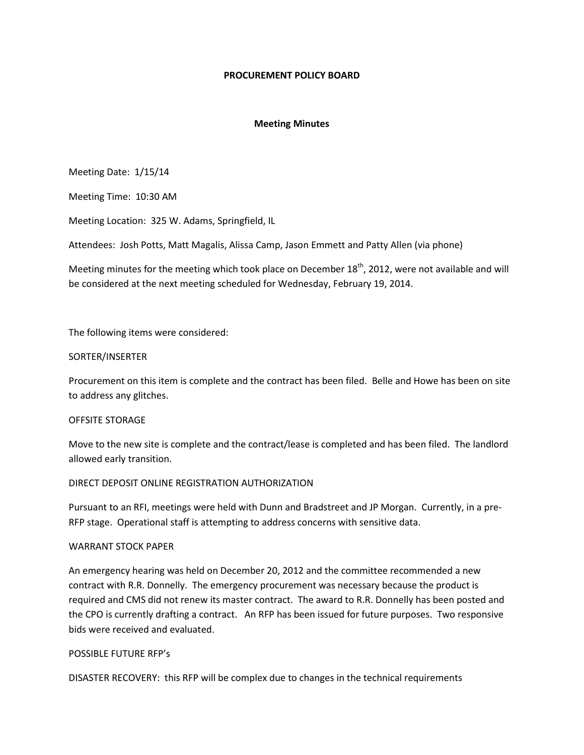### **PROCUREMENT POLICY BOARD**

## **Meeting Minutes**

Meeting Date: 1/15/14

Meeting Time: 10:30 AM

Meeting Location: 325 W. Adams, Springfield, IL

Attendees: Josh Potts, Matt Magalis, Alissa Camp, Jason Emmett and Patty Allen (via phone)

Meeting minutes for the meeting which took place on December 18<sup>th</sup>, 2012, were not available and will be considered at the next meeting scheduled for Wednesday, February 19, 2014.

The following items were considered:

#### SORTER/INSERTER

Procurement on this item is complete and the contract has been filed. Belle and Howe has been on site to address any glitches.

#### OFFSITE STORAGE

Move to the new site is complete and the contract/lease is completed and has been filed. The landlord allowed early transition.

# DIRECT DEPOSIT ONLINE REGISTRATION AUTHORIZATION

Pursuant to an RFI, meetings were held with Dunn and Bradstreet and JP Morgan. Currently, in a pre-RFP stage. Operational staff is attempting to address concerns with sensitive data.

#### WARRANT STOCK PAPER

An emergency hearing was held on December 20, 2012 and the committee recommended a new contract with R.R. Donnelly. The emergency procurement was necessary because the product is required and CMS did not renew its master contract. The award to R.R. Donnelly has been posted and the CPO is currently drafting a contract. An RFP has been issued for future purposes. Two responsive bids were received and evaluated.

#### POSSIBLE FUTURE RFP's

DISASTER RECOVERY: this RFP will be complex due to changes in the technical requirements